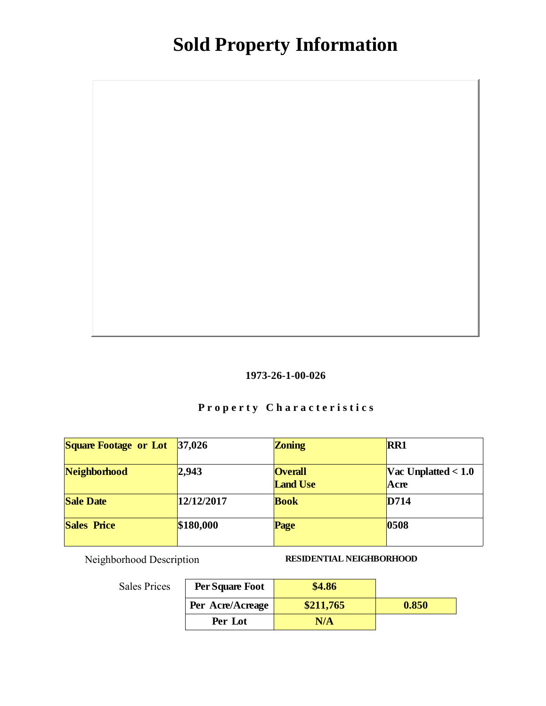

### Property Characteristics

| Square Footage or Lot | 37,026     | Zoning                            | RR1                           |
|-----------------------|------------|-----------------------------------|-------------------------------|
| Neighborhood          | 2,943      | <b>Overall</b><br><b>Land Use</b> | Vac Unplatted $< 1.0$<br>Acre |
| <b>Sale Date</b>      | 12/12/2017 | <b>Book</b>                       | D714                          |
| Sales Price           | \$180,000  | Page                              | 0508                          |

Neighborhood Description RESIDENTIAL NEIGHBORHOOD

| Per Square Foot  | \$4.86    |       |
|------------------|-----------|-------|
| Per Acre/Acreage | \$211,765 | 0.850 |
| Per Lot          | N/A       |       |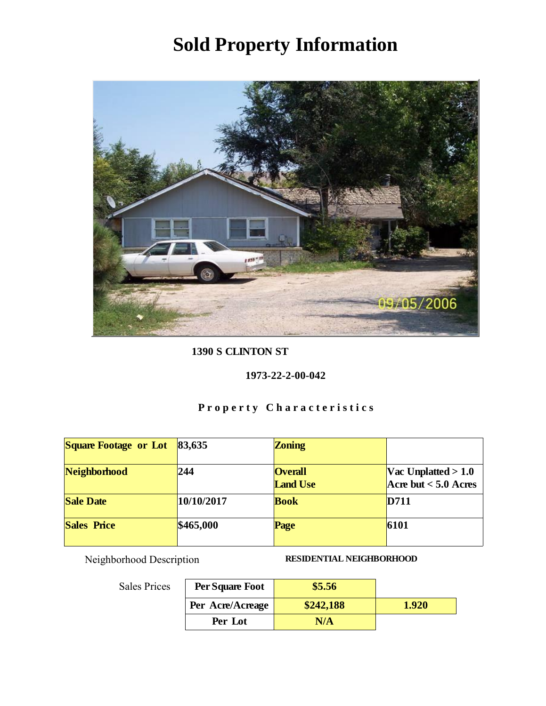

1390 S CLINTON ST

1973-22-2-00-042

### Property Characteristics

| Square Footage or Lot | 83,635     | Zoning                            |                                                 |
|-----------------------|------------|-----------------------------------|-------------------------------------------------|
| Neighborhood          | 244        | <b>Overall</b><br><b>Land Use</b> | Vac Unplatted $> 1.0$<br>Acre but $< 5.0$ Acres |
| <b>Sale Date</b>      | 10/10/2017 | <b>Book</b>                       | D711                                            |
| <b>Sales Price</b>    | \$465,000  | Page                              | 6101                                            |

Neighborhood Description RESIDENTIAL NEIGHBORHOOD

| Per Square Foot  | \$5.56    |       |
|------------------|-----------|-------|
| Per Acre/Acreage | \$242,188 | 1.920 |
| Per Lot          | N/A       |       |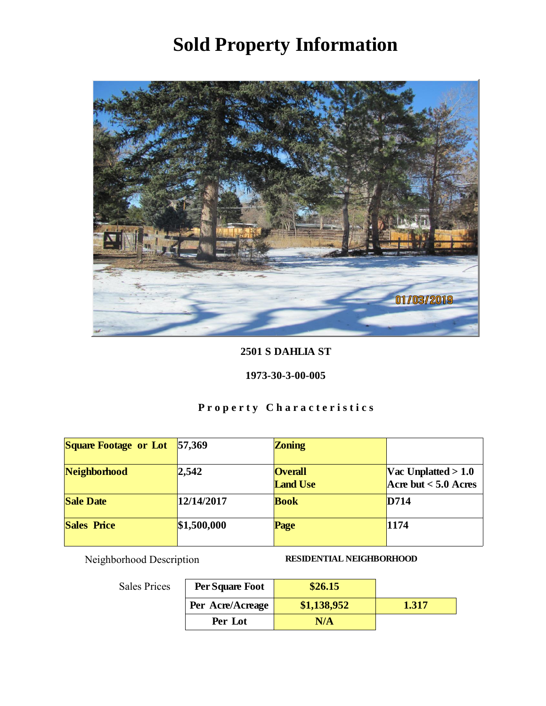

#### 2501 S DAHLIA ST

#### 1973-30-3-00-005

### Property Characteristics

| Square Footage or Lot | 57,369      | Zoning                            |                                                 |
|-----------------------|-------------|-----------------------------------|-------------------------------------------------|
| Neighborhood          | 2,542       | <b>Overall</b><br><b>Land Use</b> | Vac Unplatted $> 1.0$<br>Acre but $< 5.0$ Acres |
| <b>Sale Date</b>      | 12/14/2017  | <b>Book</b>                       | D714                                            |
| <b>Sales Price</b>    | \$1,500,000 | Page                              | 1174                                            |

Neighborhood Description RESIDENTIAL NEIGHBORHOOD

| .s | Per Square Foot  | \$26.15     |       |
|----|------------------|-------------|-------|
|    | Per Acre/Acreage | \$1,138,952 | 1.317 |
|    | Per Lot          | N/A         |       |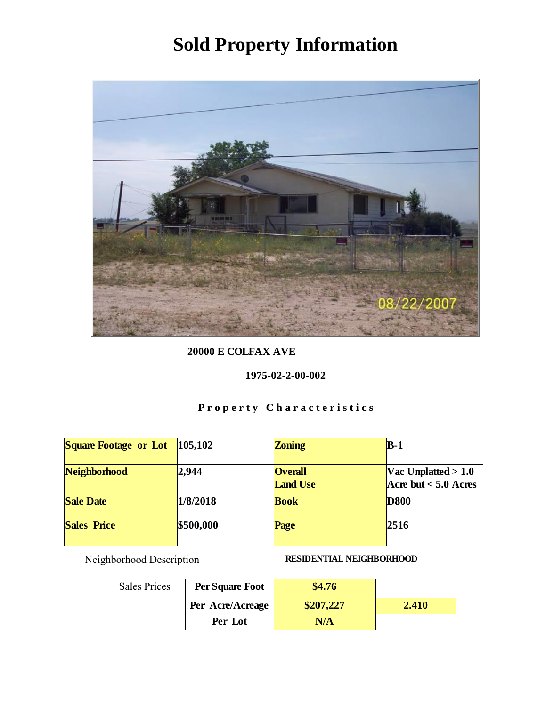

20000 E COLFAX AVE

1975-02-2-00-002

### Property Characteristics

| Square Footage or Lot | 105,102   | Zoning                            | $B-1$                                           |
|-----------------------|-----------|-----------------------------------|-------------------------------------------------|
| Neighborhood          | 2,944     | <b>Overall</b><br><b>Land Use</b> | Vac Unplatted $> 1.0$<br>Acre but $< 5.0$ Acres |
| <b>Sale Date</b>      | 1/8/2018  | <b>Book</b>                       | <b>D</b> 800                                    |
| <b>Sales Price</b>    | \$500,000 | Page                              | 2516                                            |

Neighborhood Description RESIDENTIAL NEIGHBORHOOD

| Per Square Foot  | \$4.76    |       |
|------------------|-----------|-------|
| Per Acre/Acreage | \$207,227 | 2.410 |
| Per Lot          | N/A       |       |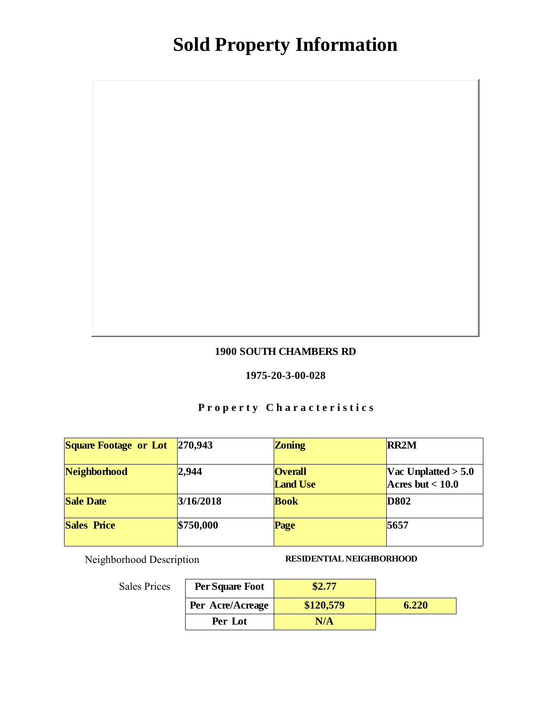#### 1900 SOUTH CHAMBERS RD

#### 1975-20-3-00-028

### Property Characteristics

| <b>Square Footage or Lot</b> | 270,943   | Zoning                            | RR <sub>2M</sub>                            |
|------------------------------|-----------|-----------------------------------|---------------------------------------------|
| Neighborhood                 | 2,944     | <b>Overall</b><br><b>Land Use</b> | Vac Unplatted $> 5.0$<br>Acres but $< 10.0$ |
| <b>Sale Date</b>             | 3/16/2018 | <b>Book</b>                       | D802                                        |
| <b>Sales Price</b>           | \$750,000 | Page                              | 5657                                        |

Neighborhood Description RESIDENTIAL NEIGHBORHOOD

| Per Square Foot  | \$2.77    |       |
|------------------|-----------|-------|
| Per Acre/Acreage | \$120,579 | 6.220 |
| Per Lot          | N/A       |       |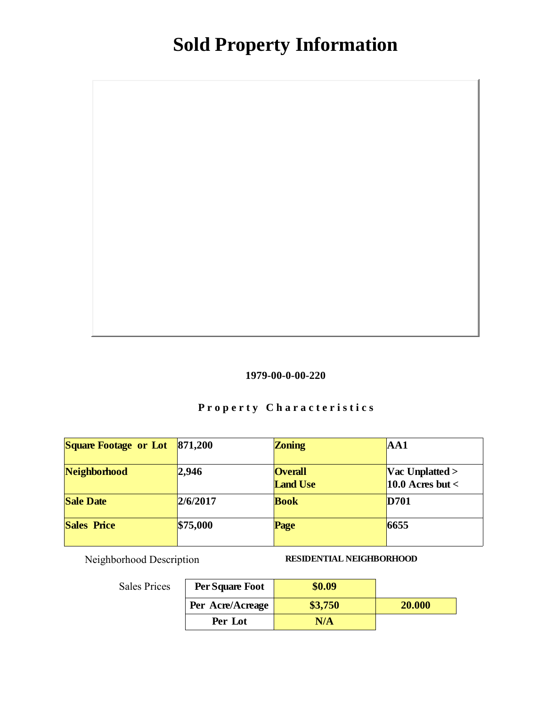

### Property Characteristics

| <b>Square Footage or Lot</b> | 871,200  | Zoning                            | AA1                                            |
|------------------------------|----------|-----------------------------------|------------------------------------------------|
| Neighborhood                 | 2,946    | <b>Overall</b><br><b>Land Use</b> | $\text{Vac Unplatted} >$<br>10.0 Acres but $<$ |
| <b>Sale Date</b>             | 2/6/2017 | <b>Book</b>                       | D701                                           |
| Sales Price                  | \$75,000 | Page                              | 6655                                           |

Neighborhood Description RESIDENTIAL NEIGHBORHOOD

| Per Square Foot  | \$0.09  |        |
|------------------|---------|--------|
| Per Acre/Acreage | \$3,750 | 20.000 |
| Per Lot          | N/A     |        |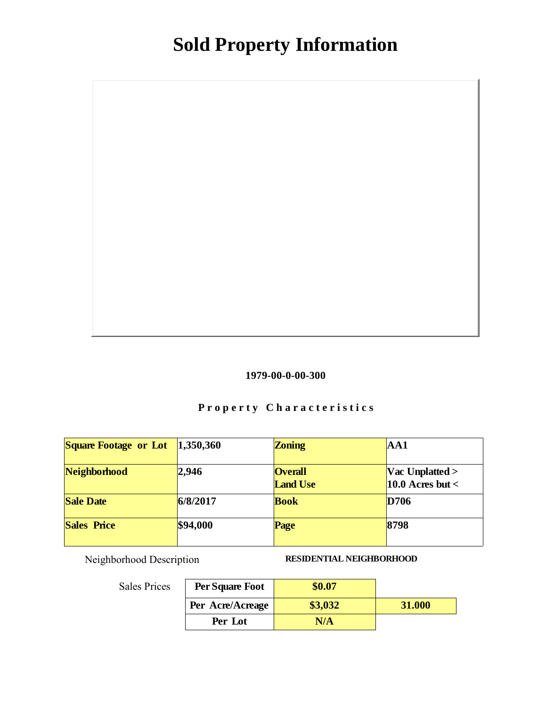

### Property Characteristics

| Square Footage or Lot | 1,350,360 | Zoning                            | AA1                                            |
|-----------------------|-----------|-----------------------------------|------------------------------------------------|
| Neighborhood          | 2,946     | <b>Overall</b><br><b>Land Use</b> | $\text{Vac Unplatted} >$<br>10.0 Acres but $<$ |
| <b>Sale Date</b>      | 6/8/2017  | <b>Book</b>                       | D706                                           |
| <b>Sales Price</b>    | \$94,000  | Page                              | 8798                                           |

Neighborhood Description RESIDENTIAL NEIGHBORHOOD

| Per Square Foot  | \$0.07  |        |
|------------------|---------|--------|
| Per Acre/Acreage | \$3,032 | 31.000 |
| Per Lot          | N/A     |        |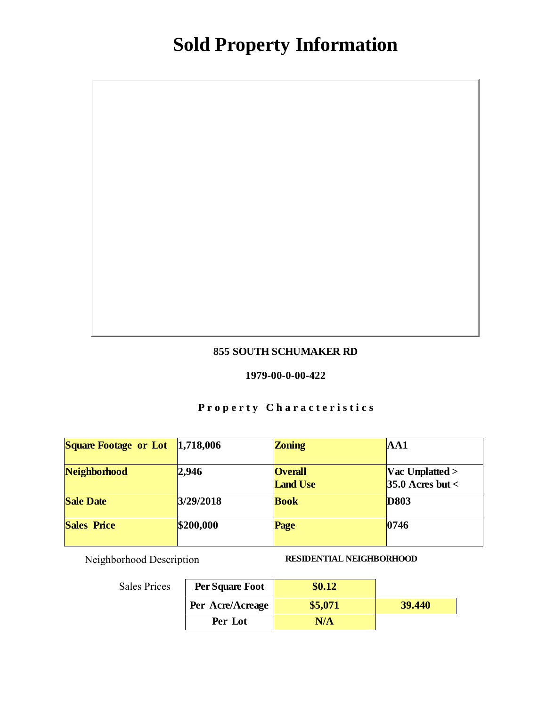#### 855 SOUTH SCHUMAKER RD

#### 1979-00-0-00-422

### Property Characteristics

| Square Footage or Lot | 1,718,006 | Zoning                            | AA1                                              |
|-----------------------|-----------|-----------------------------------|--------------------------------------------------|
| Neighborhood          | 12,946    | <b>Overall</b><br><b>Land Use</b> | $\text{Vac Unplatted} >$<br>35.0 Acres but $\lt$ |
| Sale Date             | 3/29/2018 | <b>Book</b>                       | D803                                             |
| <b>Sales Price</b>    | \$200,000 | Page                              | 0746                                             |

Neighborhood Description RESIDENTIAL NEIGHBORHOOD

| Per Square Foot  | \$0.12  |        |
|------------------|---------|--------|
| Per Acre/Acreage | \$5,071 | 39.440 |
| Per Lot          | N/A     |        |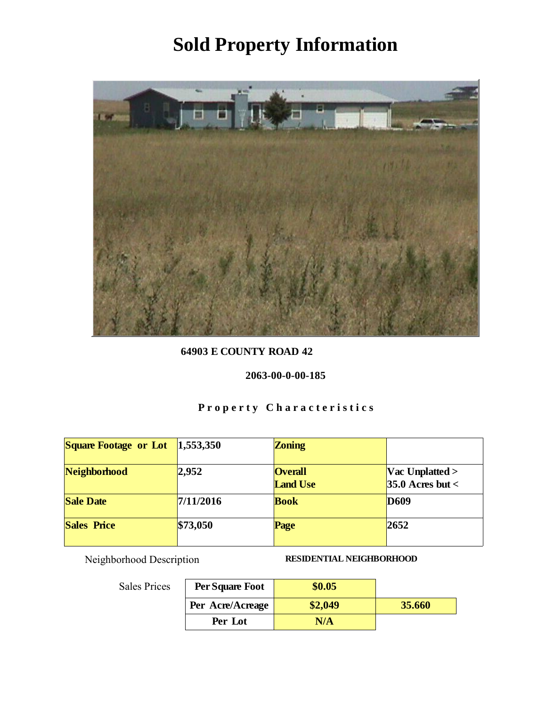

64903 E COUNTY ROAD 42

2063-00-0-00-185

### Property Characteristics

| Square Footage or Lot | 1,553,350 | Zoning                            |                                           |
|-----------------------|-----------|-----------------------------------|-------------------------------------------|
| Neighborhood          | 2,952     | <b>Overall</b><br><b>Land Use</b> | Vac Unplatted $>$<br>35.0 Acres but $\lt$ |
| <b>Sale Date</b>      | 7/11/2016 | <b>Book</b>                       | D609                                      |
| Sales Price           | \$73,050  | Page                              | 2652                                      |

Neighborhood Description RESIDENTIAL NEIGHBORHOOD

| :S | Per Square Foot  | \$0.05  |        |
|----|------------------|---------|--------|
|    | Per Acre/Acreage | \$2,049 | 35.660 |
|    | Per Lot          | N/A     |        |